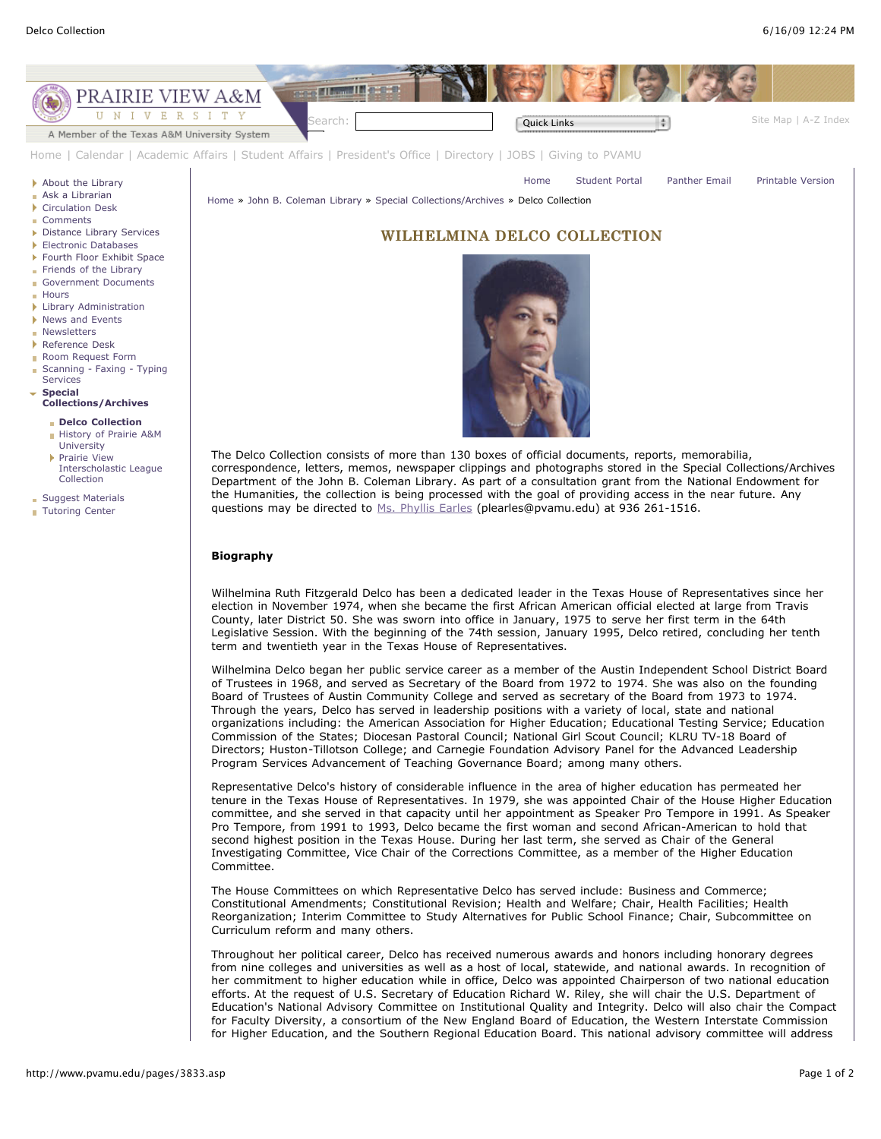

Wilhelmina Delco began her public service career as a member of the Austin Independent School District Board of Trustees in 1968, and served as Secretary of the Board from 1972 to 1974. She was also on the founding Board of Trustees of Austin Community College and served as secretary of the Board from 1973 to 1974. Through the years, Delco has served in leadership positions with a variety of local, state and national organizations including: the American Association for Higher Education; Educational Testing Service; Education Commission of the States; Diocesan Pastoral Council; National Girl Scout Council; KLRU TV-18 Board of Directors; Huston-Tillotson College; and Carnegie Foundation Advisory Panel for the Advanced Leadership Program Services Advancement of Teaching Governance Board; among many others.

Representative Delco's history of considerable influence in the area of higher education has permeated her tenure in the Texas House of Representatives. In 1979, she was appointed Chair of the House Higher Education committee, and she served in that capacity until her appointment as Speaker Pro Tempore in 1991. As Speaker Pro Tempore, from 1991 to 1993, Delco became the first woman and second African-American to hold that second highest position in the Texas House. During her last term, she served as Chair of the General Investigating Committee, Vice Chair of the Corrections Committee, as a member of the Higher Education Committee.

The House Committees on which Representative Delco has served include: Business and Commerce; Constitutional Amendments; Constitutional Revision; Health and Welfare; Chair, Health Facilities; Health Reorganization; Interim Committee to Study Alternatives for Public School Finance; Chair, Subcommittee on Curriculum reform and many others.

Throughout her political career, Delco has received numerous awards and honors including honorary degrees from nine colleges and universities as well as a host of local, statewide, and national awards. In recognition of her commitment to higher education while in office, Delco was appointed Chairperson of two national education efforts. At the request of U.S. Secretary of Education Richard W. Riley, she will chair the U.S. Department of Education's National Advisory Committee on Institutional Quality and Integrity. Delco will also chair the Compact for Faculty Diversity, a consortium of the New England Board of Education, the Western Interstate Commission for Higher Education, and the Southern Regional Education Board. This national advisory committee will address